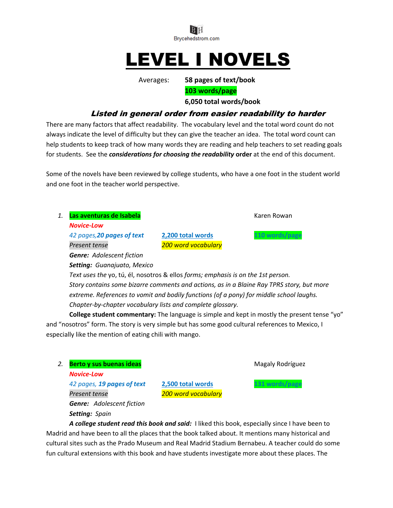

# LEVEL I NOVELS

Averages: **58 pages of text/book**

**103 words/page**

**6,050 total words/book**

# Listed in general order from easier readability to harder

There are many factors that affect readability. The vocabulary level and the total word count do not always indicate the level of difficulty but they can give the teacher an idea. The total word count can help students to keep track of how many words they are reading and help teachers to set reading goals for students. See the *considerations for choosing the readability* **order** at the end of this document.

Some of the novels have been reviewed by college students, who have a one foot in the student world and one foot in the teacher world perspective.

1. **Las aventuras de Isabela Karen Rowan** Karen Rowan *Novice-Low 42 pages,20 pages of text* **2,200 total words 110 words/page** *Present tense 200 word vocabulary*

*Setting: Guanajuato, Mexico Text uses the* yo, tú, él, nosotros & ellos *forms; emphasis is on the 1st person. Story contains some bizarre comments and actions, as in a Blaine Ray TPRS story, but more extreme. References to vomit and bodily functions (of a pony) for middle school laughs. Chapter-by-chapter vocabulary lists and complete glossary.*

**College student commentary:** The language is simple and kept in mostly the present tense "yo" and "nosotros" form. The story is very simple but has some good cultural references to Mexico, I especially like the mention of eating chili with mango.

**2. Berto y sus buenas ideas** Magaly Rodríguez **Magaly Rodríguez** 

*Genre: Adolescent fiction*

*Novice-Low*

*42 pages, 19 pages of text* **2,500 total words 131 words/page** *Present tense 200 word vocabulary Genre: Adolescent fiction Setting: Spain*

*A college student read this book and said:* I liked this book, especially since I have been to Madrid and have been to all the places that the book talked about. It mentions many historical and cultural sites such as the Prado Museum and Real Madrid Stadium Bernabeu. A teacher could do some fun cultural extensions with this book and have students investigate more about these places. The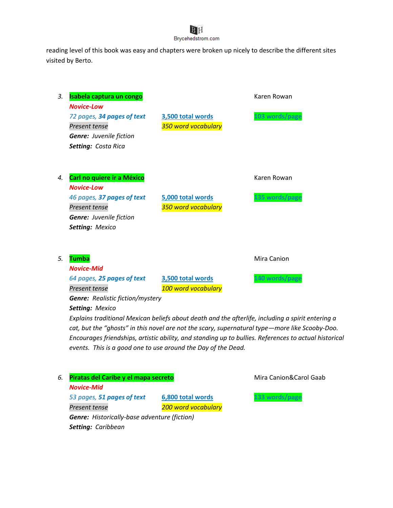reading level of this book was easy and chapters were broken up nicely to describe the different sites visited by Berto.

| 3. | Isabela captura un congo<br><b>Novice-Low</b>                                                                    |                                          | Karen Rowan    |
|----|------------------------------------------------------------------------------------------------------------------|------------------------------------------|----------------|
|    | 72 pages, 34 pages of text<br>Present tense<br><b>Genre:</b> Juvenile fiction<br>Setting: Costa Rica             | 3,500 total words<br>350 word vocabulary | 103 words/page |
| 4. | Carl no quiere ir a México<br><b>Novice-Low</b>                                                                  |                                          | Karen Rowan    |
|    | 46 pages, 37 pages of text<br>Present tense<br><b>Genre:</b> Juvenile fiction<br>Setting: Mexico                 | 5,000 total words<br>350 word vocabulary | 135 words/page |
| 5. | <b>Tumba</b><br><b>Novice-Mid</b>                                                                                |                                          | Mira Canion    |
|    | 64 pages, 25 pages of text<br>Present tense<br><b>Genre:</b> Realistic fiction/mystery<br><b>Setting: Mexico</b> | 3,500 total words<br>100 word vocabulary | 140 words/page |

*Explains traditional Mexican beliefs about death and the afterlife, including a spirit entering a cat, but the "ghosts" in this novel are not the scary, supernatural type—more like Scooby-Doo. Encourages friendships, artistic ability, and standing up to bullies. References to actual historical events. This is a good one to use around the Day of the Dead.*

| 6. | Piratas del Caribe y el mapa secreto                |                     | Mira Canion&Carol Gaab |
|----|-----------------------------------------------------|---------------------|------------------------|
|    | <b>Novice-Mid</b>                                   |                     |                        |
|    | 53 pages, 51 pages of text                          | 6,800 total words   |                        |
|    | Present tense                                       | 200 word vocabulary |                        |
|    | <b>Genre:</b> Historically-base adventure (fiction) |                     |                        |
|    | <b>Setting: Caribbean</b>                           |                     |                        |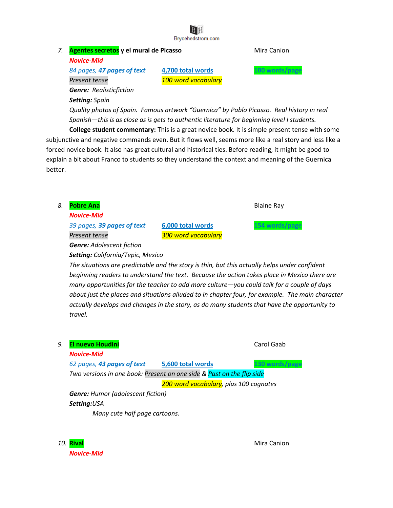# *7.* **Agentes secretos y el mural de Picasso** Mira Canion

*Novice-Mid*

*Setting: Spain*

*84 pages, 47 pages of text* **4,700 total words 100 words/page** *Present tense 100 word vocabulary Genre: Realisticfiction*

*Quality photos of Spain. Famous artwork "Guernica" by Pablo Picasso. Real history in real Spanish—this is as close as is gets to authentic literature for beginning level I students.*

**College student commentary:** This is a great novice book. It is simple present tense with some subjunctive and negative commands even. But it flows well, seems more like a real story and less like a forced novice book. It also has great cultural and historical ties. Before reading, it might be good to explain a bit about Franco to students so they understand the context and meaning of the Guernica better.

| 8.                                                                                                                                                                                                                                                                                                                                                                                                                                                                                                         | <b>Pobre Ana</b>                                                      |                                        | <b>Blaine Ray</b> |
|------------------------------------------------------------------------------------------------------------------------------------------------------------------------------------------------------------------------------------------------------------------------------------------------------------------------------------------------------------------------------------------------------------------------------------------------------------------------------------------------------------|-----------------------------------------------------------------------|----------------------------------------|-------------------|
|                                                                                                                                                                                                                                                                                                                                                                                                                                                                                                            | <b>Novice-Mid</b>                                                     |                                        |                   |
|                                                                                                                                                                                                                                                                                                                                                                                                                                                                                                            | 39 pages, 39 pages of text                                            | 6,000 total words                      | 54 words/page     |
|                                                                                                                                                                                                                                                                                                                                                                                                                                                                                                            | Present tense                                                         | 300 word vocabulary                    |                   |
|                                                                                                                                                                                                                                                                                                                                                                                                                                                                                                            | <b>Genre:</b> Adolescent fiction                                      |                                        |                   |
|                                                                                                                                                                                                                                                                                                                                                                                                                                                                                                            | <b>Setting: California/Tepic, Mexico</b>                              |                                        |                   |
| The situations are predictable and the story is thin, but this actually helps under confident<br>beginning readers to understand the text. Because the action takes place in Mexico there are<br>many opportunities for the teacher to add more culture—you could talk for a couple of days<br>about just the places and situations alluded to in chapter four, for example. The main character<br>actually develops and changes in the story, as do many students that have the opportunity to<br>travel. |                                                                       |                                        |                   |
| 9.                                                                                                                                                                                                                                                                                                                                                                                                                                                                                                         | <b>El nuevo Houdini</b>                                               |                                        | Carol Gaab        |
|                                                                                                                                                                                                                                                                                                                                                                                                                                                                                                            | <b>Novice-Mid</b>                                                     |                                        |                   |
|                                                                                                                                                                                                                                                                                                                                                                                                                                                                                                            | 62 pages, 43 pages of text                                            | 5,600 total words                      | 130 words/pag     |
|                                                                                                                                                                                                                                                                                                                                                                                                                                                                                                            | Two versions in one book: Present on one side & Past on the flip side |                                        |                   |
|                                                                                                                                                                                                                                                                                                                                                                                                                                                                                                            |                                                                       | 200 word vocabulary, plus 100 cognates |                   |
|                                                                                                                                                                                                                                                                                                                                                                                                                                                                                                            | <b>Genre:</b> Humor (adolescent fiction)                              |                                        |                   |
|                                                                                                                                                                                                                                                                                                                                                                                                                                                                                                            | Setting:USA                                                           |                                        |                   |
|                                                                                                                                                                                                                                                                                                                                                                                                                                                                                                            | Many cute half page cartoons.                                         |                                        |                   |

**10. Rival** Mira Canion *Novice-Mid*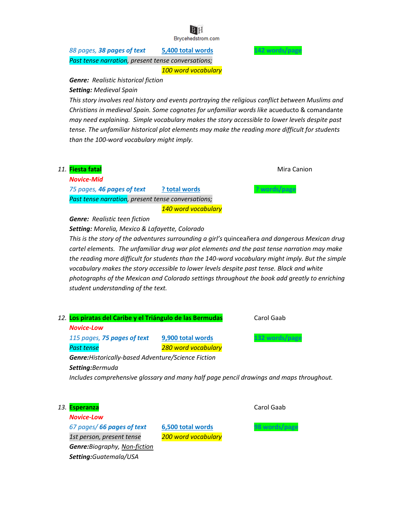*88 pages, 38 pages of text* **5,400 total words 142 words/page** *Past tense narration, present tense conversations; 100 word vocabulary*

*Genre: Realistic historical fiction Setting: Medieval Spain*

*This story involves real history and events portraying the religious conflict between Muslims and Christians in medieval Spain. Some cognates for unfamiliar words like* acueducto & comandante *may need explaining. Simple vocabulary makes the story accessible to lower levels despite past tense. The unfamiliar historical plot elements may make the reading more difficult for students than the 100-word vocabulary might imply.*



*Setting: Morelia, Mexico & Lafayette, Colorado*

*This is the story of the adventures surrounding a girl's* quinceañera *and dangerous Mexican drug cartel elements. The unfamiliar drug war plot elements and the past tense narration may make the reading more difficult for students than the 140-word vocabulary might imply. But the simple vocabulary makes the story accessible to lower levels despite past tense. Black and white photographs of the Mexican and Colorado settings throughout the book add greatly to enriching student understanding of the text.*



*Novice-Low 67 pages/ 66 pages of text* **6,500 total words 98 words/page** *1st person, present tense 200 word vocabulary Genre:Biography, Non-fiction Setting:Guatemala/USA*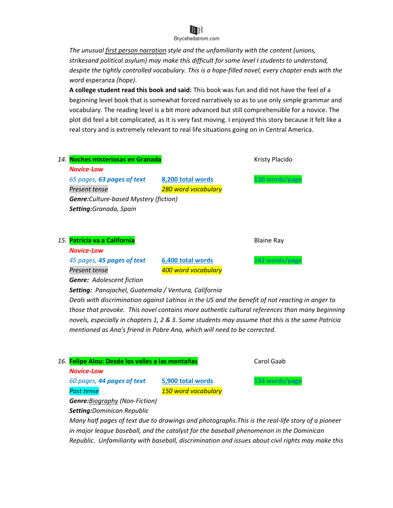

*The unusual first person narration style and the unfamiliarity with the content (unions, strikesand political asylum) may make this difficult for some level I students to understand, despite the tightly controlled vocabulary. This is a hope-filled novel; every chapter ends with the word* esperanza *(hope)*.

**A college student read this book and said:** This book was fun and did not have the feel of a beginning level book that is somewhat forced narratively so as to use only simple grammar and vocabulary. The reading level is a bit more advanced but still comprehensible for a novice. The plot did feel a bit complicated, as it is very fast moving. I enjoyed this story because it felt like a real story and is extremely relevant to real life situations going on in Central America.



*Genre: Adolescent fiction*

*Setting: Panajachel, Guatemala / Ventura, California*

*Deals with discrimination against Latinos in the US and the benefit of not reacting in anger to those that provoke. This novel contains more authentic cultural references than many beginning novels, especially in chapters 1, 2 & 3. Some students may assume that this is the same Patricia mentioned as Ana's friend in Pobre Ana, which will need to be corrected.*

| 16. Felipe Alou: Desde los valles a las montañas |                     | Carol Gaab     |
|--------------------------------------------------|---------------------|----------------|
| <b>Novice-Low</b>                                |                     |                |
| 60 pages, 44 pages of text                       | 5,900 total words   | 134 words/page |
| <b>Past tense</b>                                | 150 word vocabulary |                |
| <b>Genre:</b> Biography (Non-Fiction)            |                     |                |
| <b>Setting:</b> Dominican Republic               |                     |                |

*Many half pages of text due to drawings and photographs.This is the real-life story of a pioneer in major league baseball, and the catalyst for the baseball phenomenon in the Dominican Republic. Unfamiliarity with baseball, discrimination and issues about civil rights may make this*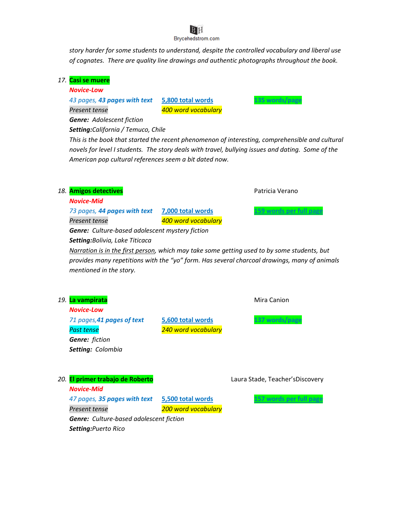*story harder for some students to understand, despite the controlled vocabulary and liberal use of cognates. There are quality line drawings and authentic photographs throughout the book.*

# *17.* **Casi se muere**

#### *Novice-Low*

*43 pages, 43 pages with text* **5,800 total words 135 words/page** *Present tense 400 word vocabulary*

*Genre: Adolescent fiction*

*Setting:California / Temuco, Chile*

*This is the book that started the recent phenomenon of interesting, comprehensible and cultural novels for level I students. The story deals with travel, bullying issues and dating. Some of the American pop cultural references seem a bit dated now.*

# **18. Amigos detectives Amigos detectives Patricia Verano**

*Novice-Mid*

*73 pages, 44 pages with text* **7,000 total words 159 words per full page**

*Present tense 400 word vocabulary Genre: Culture-based adolescent mystery fiction*

*Setting:Bolivia, Lake Titicaca*

*Narration is in the first person, which may take some getting used to by some students, but provides many repetitions with the "yo" form. Has several charcoal drawings, many of animals mentioned in the story.*

| 19.                                            | La vampirata                 |                     | Mira Canion                     |
|------------------------------------------------|------------------------------|---------------------|---------------------------------|
|                                                | <b>Novice-Low</b>            |                     |                                 |
|                                                | 71 pages, 41 pages of text   | 5,600 total words   | 137 words/page                  |
|                                                | <b>Past tense</b>            | 240 word vocabulary |                                 |
|                                                | <b>Genre:</b> fiction        |                     |                                 |
|                                                | <b>Setting: Colombia</b>     |                     |                                 |
|                                                |                              |                     |                                 |
|                                                |                              |                     |                                 |
| 20.                                            | El primer trabajo de Roberto |                     | Laura Stade, Teacher'sDiscovery |
|                                                | <b>Novice-Mid</b>            |                     |                                 |
|                                                | 47 pages, 35 pages with text | 5,500 total words   | 57 words per full page          |
|                                                | Present tense                | 200 word vocabulary |                                 |
| <b>Genre:</b> Culture-based adolescent fiction |                              |                     |                                 |
|                                                | <b>Setting:</b> Puerto Rico  |                     |                                 |
|                                                |                              |                     |                                 |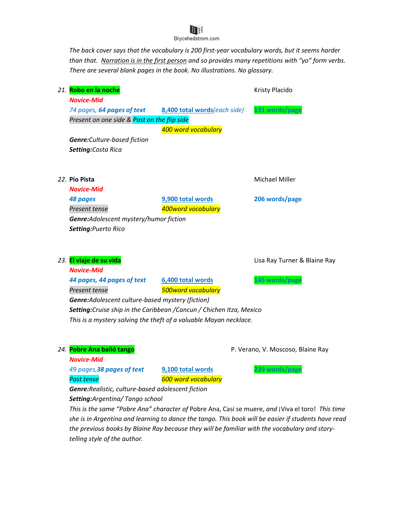*The back cover says that the vocabulary is 200 first-year vocabulary words, but it seems harder than that. Narration is in the first person and so provides many repetitions with "yo" form verbs. There are several blank pages in the book. No illustrations. No glossary.*

| 21. | Robo en la noche                               |                              | Kristy Placido               |  |
|-----|------------------------------------------------|------------------------------|------------------------------|--|
|     | <b>Novice-Mid</b>                              |                              |                              |  |
|     | 74 pages, 64 pages of text                     | 8,400 total words(each side) | 131 words/page               |  |
|     | Present on one side & Past on the flip side    |                              |                              |  |
|     |                                                | 400 word vocabulary          |                              |  |
|     | <b>Genre:</b> Culture-based fiction            |                              |                              |  |
|     | <b>Setting:Costa Rica</b>                      |                              |                              |  |
|     |                                                |                              |                              |  |
|     | 22. Pío Pista                                  |                              | <b>Michael Miller</b>        |  |
|     | <b>Novice-Mid</b>                              |                              |                              |  |
|     | <b>48 pages</b>                                | 9,900 total words            | 206 words/page               |  |
|     | Present tense                                  | 400word vocabulary           |                              |  |
|     | <b>Genre:</b> Adolescent mystery/humor fiction |                              |                              |  |
|     | <b>Setting: Puerto Rico</b>                    |                              |                              |  |
|     |                                                |                              |                              |  |
|     |                                                |                              |                              |  |
|     | 23. El viaje de su vida                        |                              | Lisa Ray Turner & Blaine Ray |  |

| <b>Novice-Mid</b>                                                           |                           |                |
|-----------------------------------------------------------------------------|---------------------------|----------------|
| 44 pages, 44 pages of text                                                  | 6,400 total words         | 145 words/page |
| Present tense                                                               | <b>500word vocabulary</b> |                |
| <b>Genre:</b> Adolescent culture-based mystery (fiction)                    |                           |                |
| <b>Setting:</b> Cruise ship in the Caribbean /Cancun / Chichen Itza, Mexico |                           |                |
| This is a mystery solving the theft of a valuable Mayan necklace.           |                           |                |

24. **Pobre Ana bailó tango P. Verano, V. Moscoso, Blaine Ray** 

*Novice-Mid 49 pages,38 pages of text* **9,100 total words 239 words/page**

*Past tense 600 word vocabulary*

*Genre:Realistic, culture-based adolescent fiction Setting:Argentina/ Tango school*

*This is the same "Pobre Ana" character of* Pobre Ana, Casi se muere, *and* ¡Viva el toro! *This time she is in Argentina and learning to dance the tango. This book will be easier if students have read the previous books by Blaine Ray because they will be familiar with the vocabulary and storytelling style of the author.*

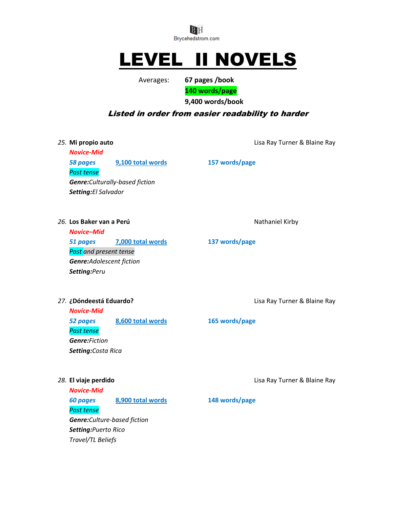

# LEVEL II NOVELS

Averages: **67 pages /book**

**140 words/page**

**9,400 words/book**

# Listed in order from easier readability to harder

*Novice-Mid 58 pages* **9,100 total words 157 words/page** *Past tense Genre:Culturally-based fiction Setting:El Salvador*

*25.* **Mi propio auto** Lisa Ray Turner & Blaine Ray

26. Los Baker van a Perú **Nathaniel Kirby** Nathaniel Kirby

*Novice–Mid 51 pages* **7,000 total words 137 words/page** *Past and present tense Genre:Adolescent fiction Setting:Peru*

*Novice-Mid 52 pages* **8,600 total words 165 words/page** *Past tense Genre:Fiction Setting:Costa Rica*

*Novice-Mid 60 pages* **8,900 total words 148 words/page** *Past tense Genre:Culture-based fiction Setting:Puerto Rico Travel/TL Beliefs*

*27.* **¿Dóndeestá Eduardo?** Lisa Ray Turner & Blaine Ray

*28.* **El viaje perdido** Lisa Ray Turner & Blaine Ray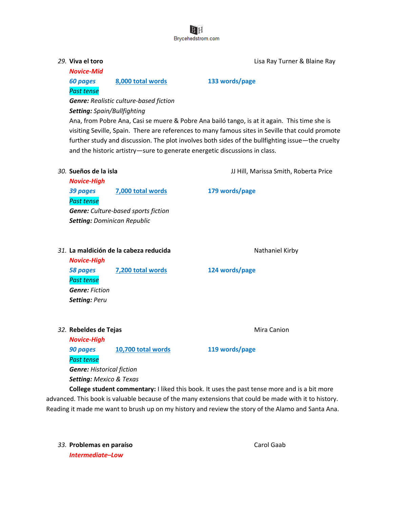

*Novice-Mid Past tense*

*29.* **Viva el toro** Lisa Ray Turner & Blaine Ray

## *60 pages* **8,000 total words 133 words/page**

*Genre: Realistic culture-based fiction Setting: Spain/Bullfighting*

Ana, from Pobre Ana, Casi se muere & Pobre Ana bailó tango, is at it again. This time she is visiting Seville, Spain. There are references to many famous sites in Seville that could promote further study and discussion. The plot involves both sides of the bullfighting issue—the cruelty and the historic artistry—sure to generate energetic discussions in class.

*30.* **Sueños de la isla** JJ Hill, Marissa Smith, Roberta Price

*Novice-High 39 pages* **7,000 total words 179 words/page** *Past tense Genre: Culture-based sports fiction Setting: Dominican Republic*

### 31. La maldición de la cabeza reducida **Nathaniel Kirby** Nathaniel Kirby

*Novice-High 58 pages* **7,200 total words 124 words/page** *Past tense Genre: Fiction Setting: Peru*

**32. Rebeldes de Tejas** Mira Canion

*Novice-High 90 pages* **10,700 total words 119 words/page** *Past tense Genre: Historical fiction Setting: Mexico & Texas*

**College student commentary:** I liked this book. It uses the past tense more and is a bit more advanced. This book is valuable because of the many extensions that could be made with it to history. Reading it made me want to brush up on my history and review the story of the Alamo and Santa Ana.

**33. Problemas en paraíso** Carol Gaab *Intermediate–Low*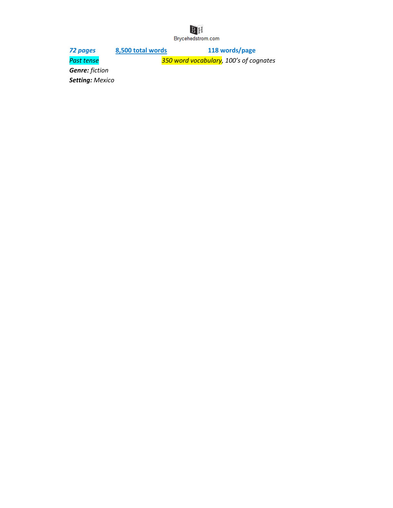# $\begin{array}{c}\n\text{B H}\n\\ \text{Bycehedstrom.com}\n\end{array}$

*72 pages* **8,500 total words 118 words/page** *Past tense 350 word vocabulary, 100's of cognates*

*Genre: fiction*

*Setting: Mexico*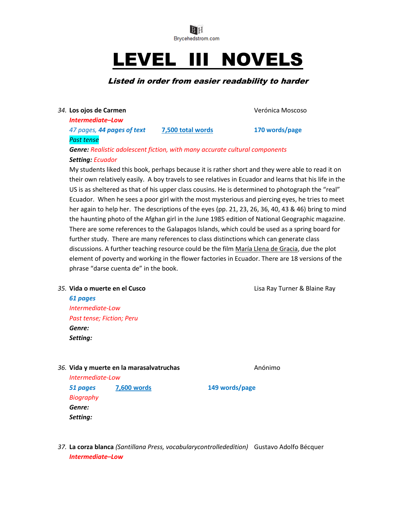

# LEVEL III NOVELS

# Listed in order from easier readability to harder

#### *34.* **Los ojos de Carmen** Verónica Moscoso

*Intermediate–Low*

*47 pages, 44 pages of text* **7,500 total words 170 words/page**

# *Past tense*

# *Genre: Realistic adolescent fiction, with many accurate cultural components Setting: Ecuador*

My students liked this book, perhaps because it is rather short and they were able to read it on their own relatively easily. A boy travels to see relatives in Ecuador and learns that his life in the US is as sheltered as that of his upper class cousins. He is determined to photograph the "real" Ecuador. When he sees a poor girl with the most mysterious and piercing eyes, he tries to meet her again to help her. The descriptions of the eyes (pp. 21, 23, 26, 36, 40, 43 & 46) bring to mind the haunting photo of the Afghan girl in the June 1985 edition of National Geographic magazine. There are some references to the Galapagos Islands, which could be used as a spring board for further study. There are many references to class distinctions which can generate class discussions. A further teaching resource could be the film María Llena de Gracia, due the plot element of poverty and working in the flower factories in Ecuador. There are 18 versions of the phrase "darse cuenta de" in the book.

## *35.* **Vida o muerte en el Cusco** Lisa Ray Turner & Blaine Ray

*61 pages Intermediate-Low Past tense; Fiction; Peru Genre: Setting:*

## **36. Vida y muerte en la marasalvatruchas** Anónimo

*Intermediate-Low 51 pages* **7,600 words 149 words/page** *Biography Genre: Setting:*

*37.* **La corza blanca** *(Santillana Press, vocabularycontrollededition)* Gustavo Adolfo Bécquer *Intermediate–Low*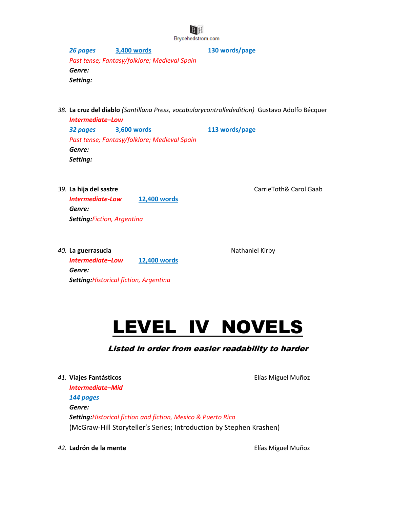

*26 pages* **3,400 words 130 words/page** *Past tense; Fantasy/folklore; Medieval Spain Genre: Setting:*

*38.* **La cruz del diablo** *(Santillana Press, vocabularycontrollededition)* Gustavo Adolfo Bécquer

*Intermediate–Low 32 pages* **3,600 words 113 words/page** *Past tense; Fantasy/folklore; Medieval Spain Genre: Setting:*

*39.* **La hija del sastre** CarrieToth& Carol Gaab *Intermediate-Low* **12,400 words** *Genre: Setting:Fiction, Argentina*

*40.* La guerrasucia **Nathaniel Kirby** Nathaniel Kirby *Intermediate–Low* **12,400 words** *Genre: Setting:Historical fiction, Argentina*

LEVEL IV NOVELS

# Listed in order from easier readability to harder

*41.* **Viajes Fantásticos** Elías Miguel Muñoz *Intermediate–Mid 144 pages Genre: Setting:Historical fiction and fiction, Mexico & Puerto Rico* (McGraw-Hill Storyteller's Series; Introduction by Stephen Krashen)

*42.* **Ladrón de la mente** Elías Miguel Muñoz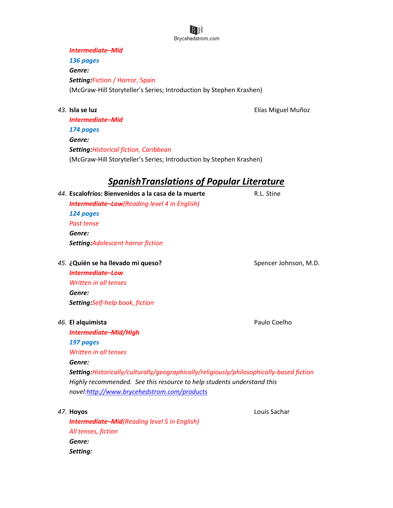#### *Intermediate–Mid*

*136 pages*

*Genre:*

*Setting:*Fiction / Horror, Spain (McGraw-Hill Storyteller's Series; Introduction by Stephen Krashen)

*43.* **Isla se luz** Elías Miguel Muñoz

*Intermediate–Mid 174 pages Genre: Setting:Historical fiction, Caribbean* (McGraw-Hill Storyteller's Series; Introduction by Stephen Krashen)

# *SpanishTranslations of Popular Literature*

*44.* **Escalofríos: Bienvenidos a la casa de la muerte** R.L. Stine *Intermediate–Low(Reading level 4 in English) 124 pages Past tense Genre: Setting:Adolescent horror fiction*

**45. ¿Quién se ha llevado mi queso?** Spencer Johnson, M.D. *Intermediate–Low Written in all tenses Genre: Setting:Self-help book, fiction*

*Intermediate–Mid/High*

*46.* **El alquimista** Paulo Coelho

*197 pages*

*Written in all tenses Genre: Setting:Historically/culturally/geographically/religiously/philosophically-based fiction Highly recommended. See this resource to help students understand this novel[:http://www.brycehedstrom.com/products](http://www.brycehedstrom.com/products)*

*47.* **Hoyos** Louis Sachar

*Intermediate–Mid(Reading level 5 in English) All tenses, fiction Genre: Setting:*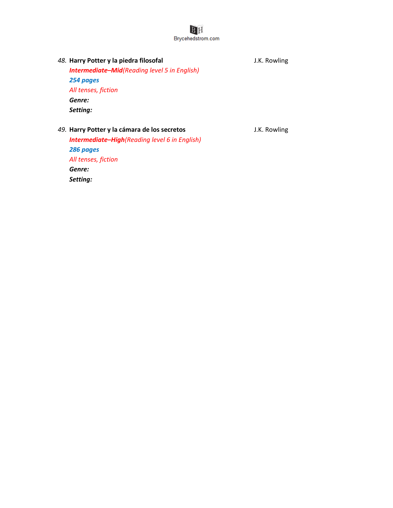*48.* **Harry Potter y la piedra filosofal** J.K. Rowling *Intermediate–Mid(Reading level 5 in English) 254 pages All tenses, fiction Genre: Setting:*

*49.* **Harry Potter y la cámara de los secretos** J.K. Rowling *Intermediate–High(Reading level 6 in English) 286 pages All tenses, fiction Genre: Setting:*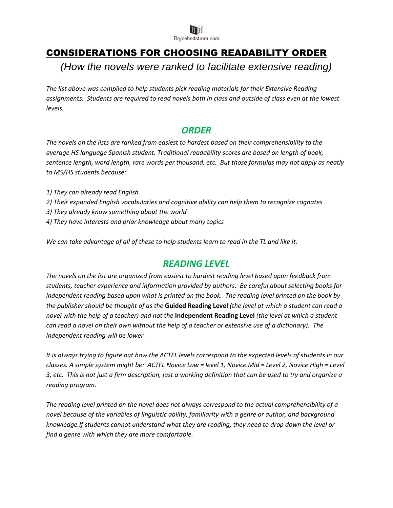

# CONSIDERATIONS FOR CHOOSING READABILITY ORDER

*(How the novels were ranked to facilitate extensive reading)*

*The list above was compiled to help students pick reading materials for their Extensive Reading assignments. Students are required to read novels both in class and outside of class even at the lowest levels.*

# *ORDER*

*The novels on the lists are ranked from easiest to hardest based on their comprehensibility to the average HS language Spanish student. Traditional readability scores are based on length of book, sentence length, word length, rare words per thousand, etc. But those formulas may not apply as neatly to MS/HS students because:*

- *1) They can already read English*
- *2) Their expanded English vocabularies and cognitive ability can help them to recognize cognates*
- *3) They already know something about the world*
- *4) They have interests and prior knowledge about many topics*

*We can take advantage of all of these to help students learn to read in the TL and like it.*

# *READING LEVEL*

*The novels on the list are organized from easiest to hardest reading level based upon feedback from students, teacher experience and information provided by authors. Be careful about selecting books for independent reading based upon what is printed on the book. The reading level printed on the book by the publisher should be thought of as the* **Guided Reading Level** *(the level at which a student can read a novel with the help of a teacher) and not the* **Independent Reading Level** *(the level at which a student can read a novel on their own without the help of a teacher or extensive use of a dictionary). The independent reading will be lower.*

*It is always trying to figure out how the ACTFL levels correspond to the expected levels of students in our classes. A simple system might be: ACTFL Novice Low = level 1, Novice Mid = Level 2, Novice High = Level 3, etc. This is not just a firm description, just a working definition that can be used to try and organize a reading program.* 

*The reading level printed on the novel does not always correspond to the actual comprehensibility of a novel because of the variables of linguistic ability, familiarity with a genre or author, and background knowledge.If students cannot understand what they are reading, they need to drop down the level or find a genre with which they are more comfortable.*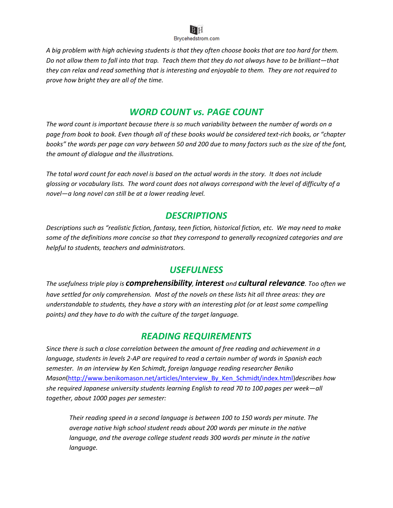

*A big problem with high achieving students is that they often choose books that are too hard for them. Do not allow them to fall into that trap. Teach them that they do not always have to be brilliant—that they can relax and read something that is interesting and enjoyable to them. They are not required to prove how bright they are all of the time.*

# *WORD COUNT vs. PAGE COUNT*

*The word count is important because there is so much variability between the number of words on a page from book to book. Even though all of these books would be considered text-rich books, or "chapter books" the words per page can vary between 50 and 200 due to many factors such as the size of the font, the amount of dialogue and the illustrations.*

*The total word count for each novel is based on the actual words in the story. It does not include glossing or vocabulary lists. The word count does not always correspond with the level of difficulty of a novel—a long novel can still be at a lower reading level.*

# *DESCRIPTIONS*

*Descriptions such as "realistic fiction, fantasy, teen fiction, historical fiction, etc. We may need to make some of the definitions more concise so that they correspond to generally recognized categories and are helpful to students, teachers and administrators.*

# *USEFULNESS*

*The usefulness triple play is comprehensibility, interest and cultural relevance. Too often we have settled for only comprehension. Most of the novels on these lists hit all three areas: they are understandable to students, they have a story with an interesting plot (or at least some compelling points) and they have to do with the culture of the target language.*

# *READING REQUIREMENTS*

*Since there is such a close correlation between the amount of free reading and achievement in a language, students in levels 2-AP are required to read a certain number of words in Spanish each semester. In an interview by Ken Schimdt, foreign language reading researcher Beniko Mason*[\(http://www.benikomason.net/articles/Interview\\_By\\_Ken\\_Schmidt/index.html\)](http://www.benikomason.net/articles/Interview_By_Ken_Schmidt/index.html)*describes how she required Japanese university students learning English to read 70 to 100 pages per week—all together, about 1000 pages per semester:* 

*Their reading speed in a second language is between 100 to 150 words per minute. The average native high school student reads about 200 words per minute in the native language, and the average college student reads 300 words per minute in the native language.*